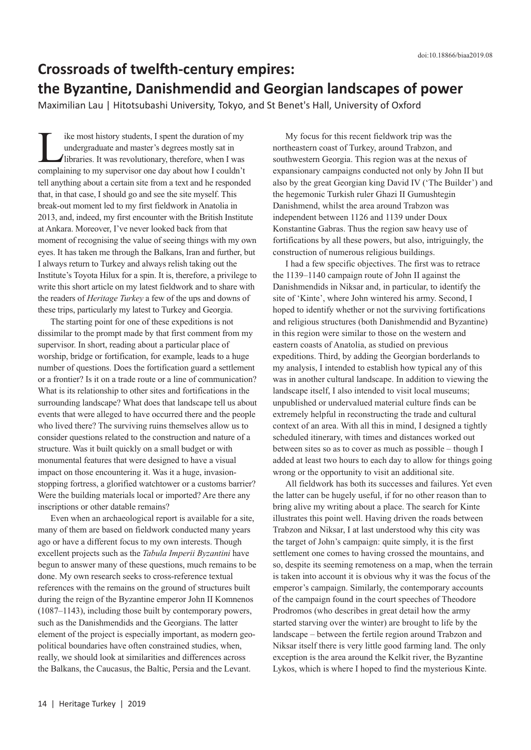## **Crossroads of twelfth-century empires: the Byzantine, Danishmendid and Georgian landscapes of power**

Maximilian Lau | Hitotsubashi University, Tokyo, and St Benet's Hall, University of Oxford

ike most history students, I spent the duration of my undergraduate and master's degrees mostly sat in libraries. It was revolutionary, therefore, when I was complaining to my supervisor one day about how I couldn't tell anything about a certain site from a text and he responded that, in that case, I should go and see the site myself. This break-out moment led to my first fieldwork in Anatolia in 2013, and, indeed, my first encounter with the British Institute at Ankara. Moreover, I've never looked back from that moment of recognising the value of seeing things with my own eyes. It has taken me through the Balkans, Iran and further, but I always return to Turkey and always relish taking out the Institute's Toyota Hilux for a spin. It is, therefore, a privilege to write this short article on my latest fieldwork and to share with the readers of *Heritage Turkey* a few of the ups and downs of these trips, particularly my latest to Turkey and Georgia.

The starting point for one of these expeditions is not dissimilar to the prompt made by that first comment from my supervisor. In short, reading about a particular place of worship, bridge or fortification, for example, leads to a huge number of questions. Does the fortification guard a settlement or a frontier? Is it on a trade route or a line of communication? What is its relationship to other sites and fortifications in the surrounding landscape? What does that landscape tell us about events that were alleged to have occurred there and the people who lived there? The surviving ruins themselves allow us to consider questions related to the construction and nature of a structure. Was it built quickly on a small budget or with monumental features that were designed to have a visual impact on those encountering it. Was it a huge, invasionstopping fortress, a glorified watchtower or a customs barrier? Were the building materials local or imported? Are there any inscriptions or other datable remains?

Even when an archaeological report is available for a site, many of them are based on fieldwork conducted many years ago or have a different focus to my own interests. Though excellent projects such as the *Tabula Imperii Byzantini* have begun to answer many of these questions, much remains to be done. My own research seeks to cross-reference textual references with the remains on the ground of structures built during the reign of the Byzantine emperor John II Komnenos (1087–1143), including those built by contemporary powers, such as the Danishmendids and the Georgians. The latter element of the project is especially important, as modern geopolitical boundaries have often constrained studies, when, really, we should look at similarities and differences across the Balkans, the Caucasus, the Baltic, Persia and the Levant.

My focus for this recent fieldwork trip was the northeastern coast of Turkey, around Trabzon, and southwestern Georgia. This region was at the nexus of expansionary campaigns conducted not only by John II but also by the great Georgian king David IV ('The Builder') and the hegemonic Turkish ruler Ghazi II Gumushtegin Danishmend, whilst the area around Trabzon was independent between 1126 and 1139 under Doux Konstantine Gabras. Thus the region saw heavy use of fortifications by all these powers, but also, intriguingly, the construction of numerous religious buildings.

I had a few specific objectives. The first was to retrace the 1139–1140 campaign route of John II against the Danishmendids in Niksar and, in particular, to identify the site of 'Kinte', where John wintered his army. Second, I hoped to identify whether or not the surviving fortifications and religious structures (both Danishmendid and Byzantine) in this region were similar to those on the western and eastern coasts of Anatolia, as studied on previous expeditions. Third, by adding the Georgian borderlands to my analysis, I intended to establish how typical any of this was in another cultural landscape. In addition to viewing the landscape itself, I also intended to visit local museums; unpublished or undervalued material culture finds can be extremely helpful in reconstructing the trade and cultural context of an area. With all this in mind, I designed a tightly scheduled itinerary, with times and distances worked out between sites so as to cover as much as possible – though I added at least two hours to each day to allow for things going wrong or the opportunity to visit an additional site.

All fieldwork has both its successes and failures. Yet even the latter can be hugely useful, if for no other reason than to bring alive my writing about a place. The search for Kinte illustrates this point well. Having driven the roads between Trabzon and Niksar, I at last understood why this city was the target of John's campaign: quite simply, it is the first settlement one comes to having crossed the mountains, and so, despite its seeming remoteness on a map, when the terrain is taken into account it is obvious why it was the focus of the emperor's campaign. Similarly, the contemporary accounts of the campaign found in the court speeches of Theodore Prodromos (who describes in great detail how the army started starving over the winter) are brought to life by the landscape – between the fertile region around Trabzon and Niksar itself there is very little good farming land. The only exception is the area around the Kelkit river, the Byzantine Lykos, which is where I hoped to find the mysterious Kinte.